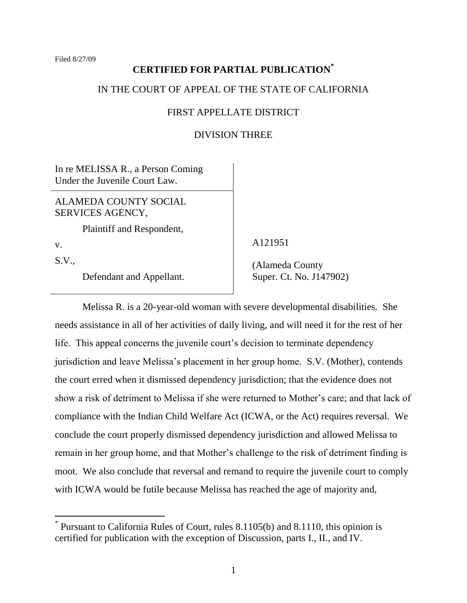# **CERTIFIED FOR PARTIAL PUBLICATION\***

## IN THE COURT OF APPEAL OF THE STATE OF CALIFORNIA

## FIRST APPELLATE DISTRICT

#### DIVISION THREE

In re MELISSA R., a Person Coming Under the Juvenile Court Law.

ALAMEDA COUNTY SOCIAL SERVICES AGENCY,

Plaintiff and Respondent,

v.

 $\overline{a}$ 

S.V.,

Defendant and Appellant.

A121951

 (Alameda County Super. Ct. No. J147902)

Melissa R. is a 20-year-old woman with severe developmental disabilities. She needs assistance in all of her activities of daily living, and will need it for the rest of her life. This appeal concerns the juvenile court's decision to terminate dependency jurisdiction and leave Melissa"s placement in her group home. S.V. (Mother), contends the court erred when it dismissed dependency jurisdiction; that the evidence does not show a risk of detriment to Melissa if she were returned to Mother"s care; and that lack of compliance with the Indian Child Welfare Act (ICWA, or the Act) requires reversal. We conclude the court properly dismissed dependency jurisdiction and allowed Melissa to remain in her group home, and that Mother's challenge to the risk of detriment finding is moot. We also conclude that reversal and remand to require the juvenile court to comply with ICWA would be futile because Melissa has reached the age of majority and,

<sup>\*</sup> Pursuant to California Rules of Court, rules 8.1105(b) and 8.1110, this opinion is certified for publication with the exception of Discussion, parts I., II., and IV.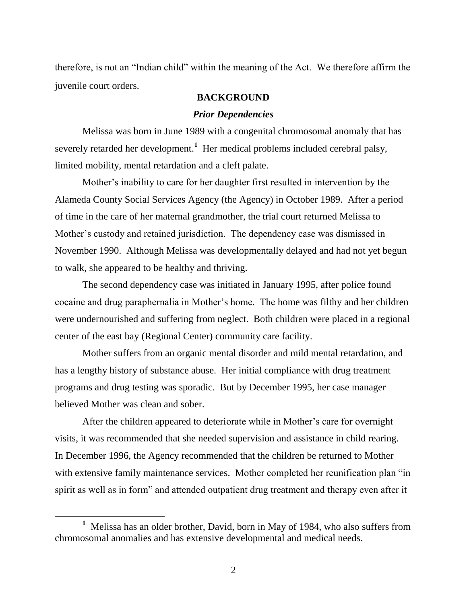therefore, is not an "Indian child" within the meaning of the Act. We therefore affirm the juvenile court orders.

#### **BACKGROUND**

#### *Prior Dependencies*

Melissa was born in June 1989 with a congenital chromosomal anomaly that has severely retarded her development.**<sup>1</sup>** Her medical problems included cerebral palsy, limited mobility, mental retardation and a cleft palate.

Mother's inability to care for her daughter first resulted in intervention by the Alameda County Social Services Agency (the Agency) in October 1989. After a period of time in the care of her maternal grandmother, the trial court returned Melissa to Mother's custody and retained jurisdiction. The dependency case was dismissed in November 1990. Although Melissa was developmentally delayed and had not yet begun to walk, she appeared to be healthy and thriving.

The second dependency case was initiated in January 1995, after police found cocaine and drug paraphernalia in Mother"s home. The home was filthy and her children were undernourished and suffering from neglect. Both children were placed in a regional center of the east bay (Regional Center) community care facility.

Mother suffers from an organic mental disorder and mild mental retardation, and has a lengthy history of substance abuse. Her initial compliance with drug treatment programs and drug testing was sporadic. But by December 1995, her case manager believed Mother was clean and sober.

After the children appeared to deteriorate while in Mother"s care for overnight visits, it was recommended that she needed supervision and assistance in child rearing. In December 1996, the Agency recommended that the children be returned to Mother with extensive family maintenance services. Mother completed her reunification plan "in spirit as well as in form" and attended outpatient drug treatment and therapy even after it

**<sup>1</sup>** Melissa has an older brother, David, born in May of 1984, who also suffers from chromosomal anomalies and has extensive developmental and medical needs.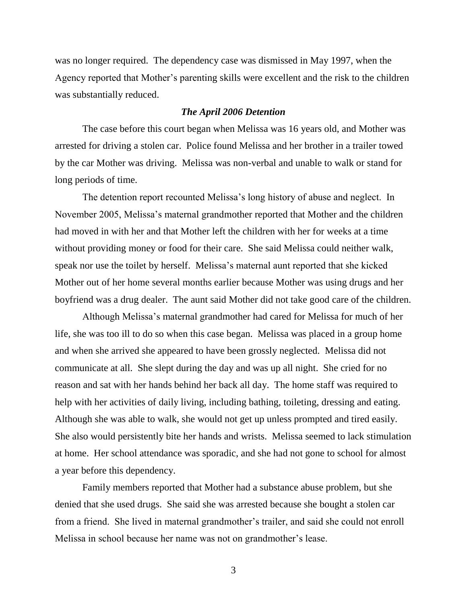was no longer required. The dependency case was dismissed in May 1997, when the Agency reported that Mother"s parenting skills were excellent and the risk to the children was substantially reduced.

## *The April 2006 Detention*

The case before this court began when Melissa was 16 years old, and Mother was arrested for driving a stolen car. Police found Melissa and her brother in a trailer towed by the car Mother was driving. Melissa was non-verbal and unable to walk or stand for long periods of time.

The detention report recounted Melissa"s long history of abuse and neglect. In November 2005, Melissa"s maternal grandmother reported that Mother and the children had moved in with her and that Mother left the children with her for weeks at a time without providing money or food for their care. She said Melissa could neither walk, speak nor use the toilet by herself. Melissa"s maternal aunt reported that she kicked Mother out of her home several months earlier because Mother was using drugs and her boyfriend was a drug dealer. The aunt said Mother did not take good care of the children.

Although Melissa"s maternal grandmother had cared for Melissa for much of her life, she was too ill to do so when this case began. Melissa was placed in a group home and when she arrived she appeared to have been grossly neglected. Melissa did not communicate at all. She slept during the day and was up all night. She cried for no reason and sat with her hands behind her back all day. The home staff was required to help with her activities of daily living, including bathing, toileting, dressing and eating. Although she was able to walk, she would not get up unless prompted and tired easily. She also would persistently bite her hands and wrists. Melissa seemed to lack stimulation at home. Her school attendance was sporadic, and she had not gone to school for almost a year before this dependency.

Family members reported that Mother had a substance abuse problem, but she denied that she used drugs. She said she was arrested because she bought a stolen car from a friend. She lived in maternal grandmother"s trailer, and said she could not enroll Melissa in school because her name was not on grandmother's lease.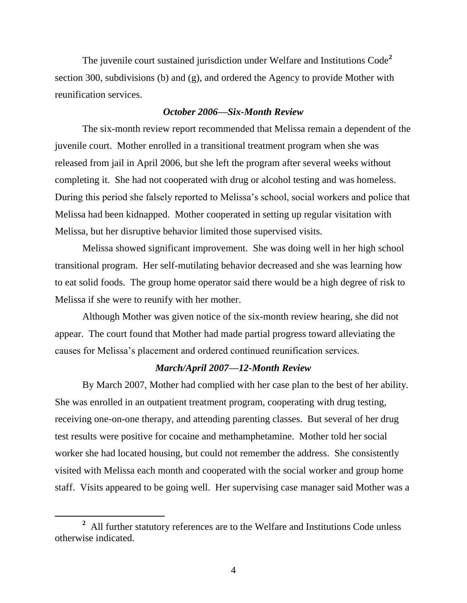The juvenile court sustained jurisdiction under Welfare and Institutions Code**<sup>2</sup>** section 300, subdivisions (b) and (g), and ordered the Agency to provide Mother with reunification services.

#### *October 2006—Six-Month Review*

The six-month review report recommended that Melissa remain a dependent of the juvenile court. Mother enrolled in a transitional treatment program when she was released from jail in April 2006, but she left the program after several weeks without completing it. She had not cooperated with drug or alcohol testing and was homeless. During this period she falsely reported to Melissa's school, social workers and police that Melissa had been kidnapped. Mother cooperated in setting up regular visitation with Melissa, but her disruptive behavior limited those supervised visits.

Melissa showed significant improvement. She was doing well in her high school transitional program. Her self-mutilating behavior decreased and she was learning how to eat solid foods. The group home operator said there would be a high degree of risk to Melissa if she were to reunify with her mother.

Although Mother was given notice of the six-month review hearing, she did not appear. The court found that Mother had made partial progress toward alleviating the causes for Melissa"s placement and ordered continued reunification services.

## *March/April 2007—12-Month Review*

By March 2007, Mother had complied with her case plan to the best of her ability. She was enrolled in an outpatient treatment program, cooperating with drug testing, receiving one-on-one therapy, and attending parenting classes. But several of her drug test results were positive for cocaine and methamphetamine. Mother told her social worker she had located housing, but could not remember the address. She consistently visited with Melissa each month and cooperated with the social worker and group home staff. Visits appeared to be going well. Her supervising case manager said Mother was a

<sup>&</sup>lt;sup>2</sup> All further statutory references are to the Welfare and Institutions Code unless otherwise indicated.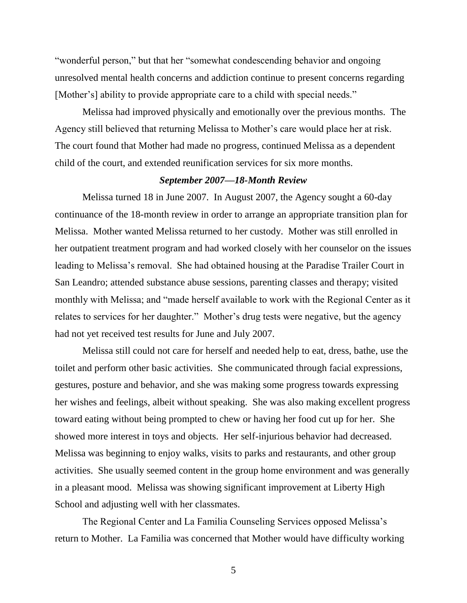"wonderful person," but that her "somewhat condescending behavior and ongoing unresolved mental health concerns and addiction continue to present concerns regarding [Mother's] ability to provide appropriate care to a child with special needs."

Melissa had improved physically and emotionally over the previous months. The Agency still believed that returning Melissa to Mother's care would place her at risk. The court found that Mother had made no progress, continued Melissa as a dependent child of the court, and extended reunification services for six more months.

## *September 2007—18-Month Review*

Melissa turned 18 in June 2007. In August 2007, the Agency sought a 60-day continuance of the 18-month review in order to arrange an appropriate transition plan for Melissa. Mother wanted Melissa returned to her custody. Mother was still enrolled in her outpatient treatment program and had worked closely with her counselor on the issues leading to Melissa"s removal. She had obtained housing at the Paradise Trailer Court in San Leandro; attended substance abuse sessions, parenting classes and therapy; visited monthly with Melissa; and "made herself available to work with the Regional Center as it relates to services for her daughter." Mother's drug tests were negative, but the agency had not yet received test results for June and July 2007.

Melissa still could not care for herself and needed help to eat, dress, bathe, use the toilet and perform other basic activities. She communicated through facial expressions, gestures, posture and behavior, and she was making some progress towards expressing her wishes and feelings, albeit without speaking. She was also making excellent progress toward eating without being prompted to chew or having her food cut up for her. She showed more interest in toys and objects. Her self-injurious behavior had decreased. Melissa was beginning to enjoy walks, visits to parks and restaurants, and other group activities. She usually seemed content in the group home environment and was generally in a pleasant mood. Melissa was showing significant improvement at Liberty High School and adjusting well with her classmates.

The Regional Center and La Familia Counseling Services opposed Melissa"s return to Mother. La Familia was concerned that Mother would have difficulty working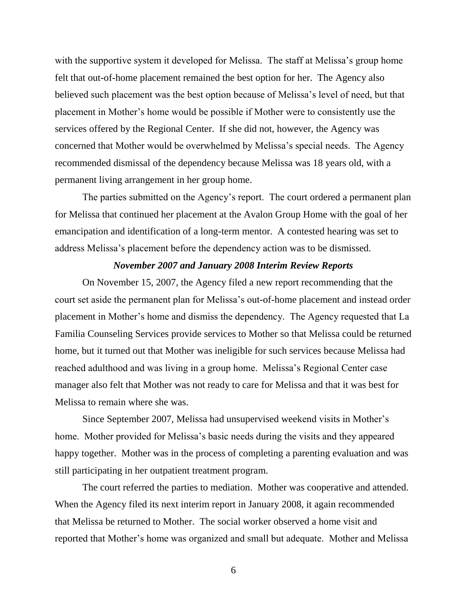with the supportive system it developed for Melissa. The staff at Melissa's group home felt that out-of-home placement remained the best option for her. The Agency also believed such placement was the best option because of Melissa"s level of need, but that placement in Mother"s home would be possible if Mother were to consistently use the services offered by the Regional Center. If she did not, however, the Agency was concerned that Mother would be overwhelmed by Melissa"s special needs. The Agency recommended dismissal of the dependency because Melissa was 18 years old, with a permanent living arrangement in her group home.

The parties submitted on the Agency"s report. The court ordered a permanent plan for Melissa that continued her placement at the Avalon Group Home with the goal of her emancipation and identification of a long-term mentor. A contested hearing was set to address Melissa"s placement before the dependency action was to be dismissed.

## *November 2007 and January 2008 Interim Review Reports*

On November 15, 2007, the Agency filed a new report recommending that the court set aside the permanent plan for Melissa"s out-of-home placement and instead order placement in Mother"s home and dismiss the dependency. The Agency requested that La Familia Counseling Services provide services to Mother so that Melissa could be returned home, but it turned out that Mother was ineligible for such services because Melissa had reached adulthood and was living in a group home. Melissa"s Regional Center case manager also felt that Mother was not ready to care for Melissa and that it was best for Melissa to remain where she was.

Since September 2007, Melissa had unsupervised weekend visits in Mother"s home. Mother provided for Melissa's basic needs during the visits and they appeared happy together. Mother was in the process of completing a parenting evaluation and was still participating in her outpatient treatment program.

The court referred the parties to mediation. Mother was cooperative and attended. When the Agency filed its next interim report in January 2008, it again recommended that Melissa be returned to Mother. The social worker observed a home visit and reported that Mother"s home was organized and small but adequate. Mother and Melissa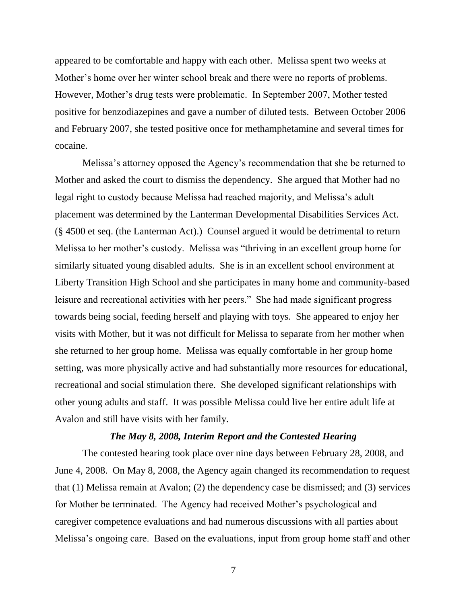appeared to be comfortable and happy with each other. Melissa spent two weeks at Mother's home over her winter school break and there were no reports of problems. However, Mother"s drug tests were problematic. In September 2007, Mother tested positive for benzodiazepines and gave a number of diluted tests. Between October 2006 and February 2007, she tested positive once for methamphetamine and several times for cocaine.

Melissa"s attorney opposed the Agency"s recommendation that she be returned to Mother and asked the court to dismiss the dependency. She argued that Mother had no legal right to custody because Melissa had reached majority, and Melissa"s adult placement was determined by the Lanterman Developmental Disabilities Services Act. (§ 4500 et seq. (the Lanterman Act).) Counsel argued it would be detrimental to return Melissa to her mother"s custody. Melissa was "thriving in an excellent group home for similarly situated young disabled adults. She is in an excellent school environment at Liberty Transition High School and she participates in many home and community-based leisure and recreational activities with her peers." She had made significant progress towards being social, feeding herself and playing with toys. She appeared to enjoy her visits with Mother, but it was not difficult for Melissa to separate from her mother when she returned to her group home. Melissa was equally comfortable in her group home setting, was more physically active and had substantially more resources for educational, recreational and social stimulation there. She developed significant relationships with other young adults and staff. It was possible Melissa could live her entire adult life at Avalon and still have visits with her family.

## *The May 8, 2008, Interim Report and the Contested Hearing*

The contested hearing took place over nine days between February 28, 2008, and June 4, 2008. On May 8, 2008, the Agency again changed its recommendation to request that (1) Melissa remain at Avalon; (2) the dependency case be dismissed; and (3) services for Mother be terminated. The Agency had received Mother"s psychological and caregiver competence evaluations and had numerous discussions with all parties about Melissa"s ongoing care. Based on the evaluations, input from group home staff and other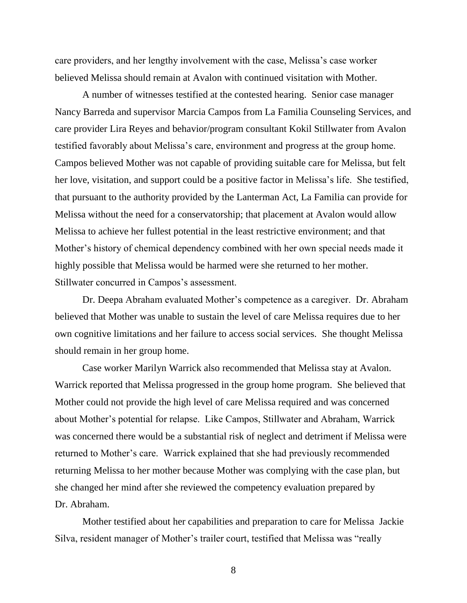care providers, and her lengthy involvement with the case, Melissa"s case worker believed Melissa should remain at Avalon with continued visitation with Mother.

A number of witnesses testified at the contested hearing. Senior case manager Nancy Barreda and supervisor Marcia Campos from La Familia Counseling Services, and care provider Lira Reyes and behavior/program consultant Kokil Stillwater from Avalon testified favorably about Melissa"s care, environment and progress at the group home. Campos believed Mother was not capable of providing suitable care for Melissa, but felt her love, visitation, and support could be a positive factor in Melissa's life. She testified, that pursuant to the authority provided by the Lanterman Act, La Familia can provide for Melissa without the need for a conservatorship; that placement at Avalon would allow Melissa to achieve her fullest potential in the least restrictive environment; and that Mother's history of chemical dependency combined with her own special needs made it highly possible that Melissa would be harmed were she returned to her mother. Stillwater concurred in Campos's assessment.

Dr. Deepa Abraham evaluated Mother"s competence as a caregiver. Dr. Abraham believed that Mother was unable to sustain the level of care Melissa requires due to her own cognitive limitations and her failure to access social services. She thought Melissa should remain in her group home.

Case worker Marilyn Warrick also recommended that Melissa stay at Avalon. Warrick reported that Melissa progressed in the group home program. She believed that Mother could not provide the high level of care Melissa required and was concerned about Mother"s potential for relapse. Like Campos, Stillwater and Abraham, Warrick was concerned there would be a substantial risk of neglect and detriment if Melissa were returned to Mother"s care. Warrick explained that she had previously recommended returning Melissa to her mother because Mother was complying with the case plan, but she changed her mind after she reviewed the competency evaluation prepared by Dr. Abraham.

Mother testified about her capabilities and preparation to care for Melissa Jackie Silva, resident manager of Mother"s trailer court, testified that Melissa was "really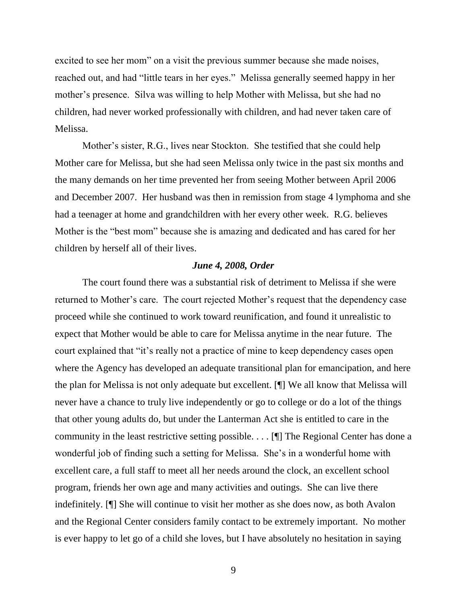excited to see her mom" on a visit the previous summer because she made noises, reached out, and had "little tears in her eyes." Melissa generally seemed happy in her mother's presence. Silva was willing to help Mother with Melissa, but she had no children, had never worked professionally with children, and had never taken care of Melissa.

Mother's sister, R.G., lives near Stockton. She testified that she could help Mother care for Melissa, but she had seen Melissa only twice in the past six months and the many demands on her time prevented her from seeing Mother between April 2006 and December 2007. Her husband was then in remission from stage 4 lymphoma and she had a teenager at home and grandchildren with her every other week. R.G. believes Mother is the "best mom" because she is amazing and dedicated and has cared for her children by herself all of their lives.

#### *June 4, 2008, Order*

The court found there was a substantial risk of detriment to Melissa if she were returned to Mother"s care. The court rejected Mother"s request that the dependency case proceed while she continued to work toward reunification, and found it unrealistic to expect that Mother would be able to care for Melissa anytime in the near future. The court explained that "it's really not a practice of mine to keep dependency cases open where the Agency has developed an adequate transitional plan for emancipation, and here the plan for Melissa is not only adequate but excellent. [¶] We all know that Melissa will never have a chance to truly live independently or go to college or do a lot of the things that other young adults do, but under the Lanterman Act she is entitled to care in the community in the least restrictive setting possible. . . . [¶] The Regional Center has done a wonderful job of finding such a setting for Melissa. She"s in a wonderful home with excellent care, a full staff to meet all her needs around the clock, an excellent school program, friends her own age and many activities and outings. She can live there indefinitely. [¶] She will continue to visit her mother as she does now, as both Avalon and the Regional Center considers family contact to be extremely important. No mother is ever happy to let go of a child she loves, but I have absolutely no hesitation in saying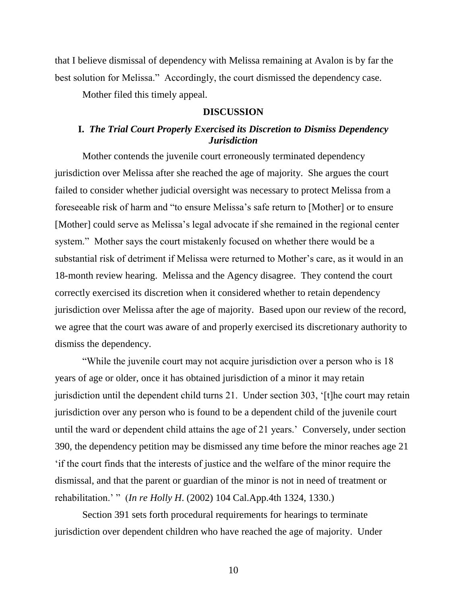that I believe dismissal of dependency with Melissa remaining at Avalon is by far the best solution for Melissa." Accordingly, the court dismissed the dependency case.

Mother filed this timely appeal.

#### **DISCUSSION**

# **I.** *The Trial Court Properly Exercised its Discretion to Dismiss Dependency Jurisdiction*

Mother contends the juvenile court erroneously terminated dependency jurisdiction over Melissa after she reached the age of majority. She argues the court failed to consider whether judicial oversight was necessary to protect Melissa from a foreseeable risk of harm and "to ensure Melissa"s safe return to [Mother] or to ensure [Mother] could serve as Melissa"s legal advocate if she remained in the regional center system." Mother says the court mistakenly focused on whether there would be a substantial risk of detriment if Melissa were returned to Mother"s care, as it would in an 18-month review hearing. Melissa and the Agency disagree. They contend the court correctly exercised its discretion when it considered whether to retain dependency jurisdiction over Melissa after the age of majority. Based upon our review of the record, we agree that the court was aware of and properly exercised its discretionary authority to dismiss the dependency.

"While the juvenile court may not acquire jurisdiction over a person who is 18 years of age or older, once it has obtained jurisdiction of a minor it may retain jurisdiction until the dependent child turns 21. Under section 303, "[t]he court may retain jurisdiction over any person who is found to be a dependent child of the juvenile court until the ward or dependent child attains the age of 21 years." Conversely, under section 390, the dependency petition may be dismissed any time before the minor reaches age 21 "if the court finds that the interests of justice and the welfare of the minor require the dismissal, and that the parent or guardian of the minor is not in need of treatment or rehabilitation." " (*In re Holly H*. (2002) 104 Cal.App.4th 1324, 1330.)

Section 391 sets forth procedural requirements for hearings to terminate jurisdiction over dependent children who have reached the age of majority. Under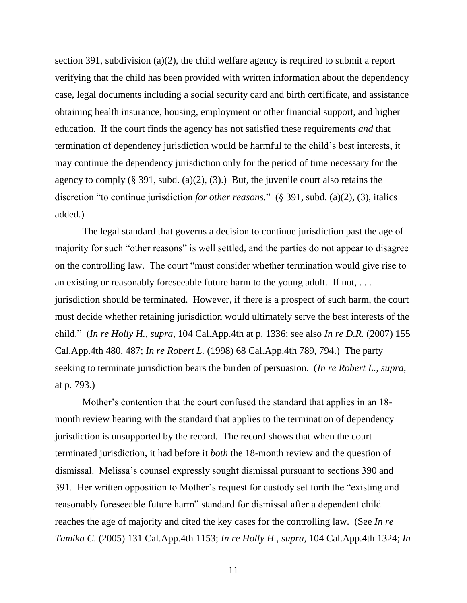section 391, subdivision (a)(2), the child welfare agency is required to submit a report verifying that the child has been provided with written information about the dependency case, legal documents including a social security card and birth certificate, and assistance obtaining health insurance, housing, employment or other financial support, and higher education. If the court finds the agency has not satisfied these requirements *and* that termination of dependency jurisdiction would be harmful to the child"s best interests, it may continue the dependency jurisdiction only for the period of time necessary for the agency to comply  $(\S$  391, subd. (a)(2), (3).) But, the juvenile court also retains the discretion "to continue jurisdiction *for other reasons*." (§ 391, subd. (a)(2), (3), italics added.)

The legal standard that governs a decision to continue jurisdiction past the age of majority for such "other reasons" is well settled, and the parties do not appear to disagree on the controlling law. The court "must consider whether termination would give rise to an existing or reasonably foreseeable future harm to the young adult. If not, *. . .* jurisdiction should be terminated. However, if there is a prospect of such harm, the court must decide whether retaining jurisdiction would ultimately serve the best interests of the child." (*In re Holly H., supra,* 104 Cal.App.4th at p. 1336; see also *In re D.R.* (2007) 155 Cal.App.4th 480, 487; *In re Robert L.* (1998) 68 Cal.App.4th 789, 794.) The party seeking to terminate jurisdiction bears the burden of persuasion. (*In re Robert L., supra*, at p. 793.)

Mother's contention that the court confused the standard that applies in an 18month review hearing with the standard that applies to the termination of dependency jurisdiction is unsupported by the record. The record shows that when the court terminated jurisdiction, it had before it *both* the 18-month review and the question of dismissal. Melissa"s counsel expressly sought dismissal pursuant to sections 390 and 391. Her written opposition to Mother"s request for custody set forth the "existing and reasonably foreseeable future harm" standard for dismissal after a dependent child reaches the age of majority and cited the key cases for the controlling law. (See *In re Tamika C*. (2005) 131 Cal.App.4th 1153; *In re Holly H.*, *supra,* 104 Cal.App.4th 1324; *In*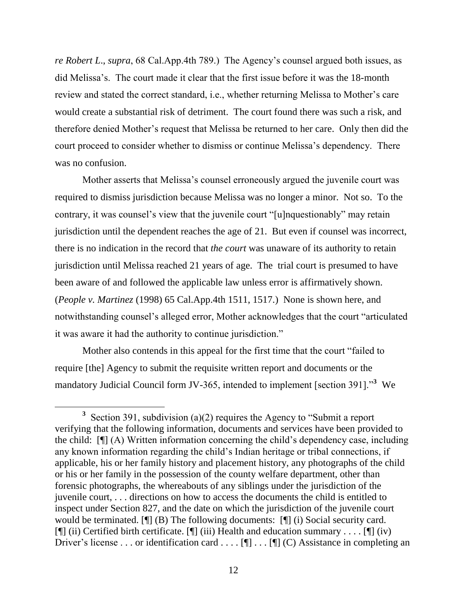*re Robert L*., *supra*, 68 Cal.App.4th 789.) The Agency"s counsel argued both issues, as did Melissa"s. The court made it clear that the first issue before it was the 18-month review and stated the correct standard, i.e., whether returning Melissa to Mother"s care would create a substantial risk of detriment. The court found there was such a risk, and therefore denied Mother"s request that Melissa be returned to her care. Only then did the court proceed to consider whether to dismiss or continue Melissa"s dependency. There was no confusion.

Mother asserts that Melissa"s counsel erroneously argued the juvenile court was required to dismiss jurisdiction because Melissa was no longer a minor. Not so. To the contrary, it was counsel"s view that the juvenile court "[u]nquestionably" may retain jurisdiction until the dependent reaches the age of 21. But even if counsel was incorrect, there is no indication in the record that *the court* was unaware of its authority to retain jurisdiction until Melissa reached 21 years of age. The trial court is presumed to have been aware of and followed the applicable law unless error is affirmatively shown. (*People v. Martinez* (1998) 65 Cal.App.4th 1511, 1517.) None is shown here, and notwithstanding counsel"s alleged error, Mother acknowledges that the court "articulated it was aware it had the authority to continue jurisdiction."

Mother also contends in this appeal for the first time that the court "failed to require [the] Agency to submit the requisite written report and documents or the mandatory Judicial Council form JV-365, intended to implement [section 391].<sup>3</sup> We

<sup>&</sup>lt;sup>3</sup> Section 391, subdivision (a)(2) requires the Agency to "Submit a report verifying that the following information, documents and services have been provided to the child: [¶] (A) Written information concerning the child"s dependency case, including any known information regarding the child"s Indian heritage or tribal connections, if applicable, his or her family history and placement history, any photographs of the child or his or her family in the possession of the county welfare department, other than forensic photographs, the whereabouts of any siblings under the jurisdiction of the juvenile court, . . . directions on how to access the documents the child is entitled to inspect under Section 827, and the date on which the jurisdiction of the juvenile court would be terminated. [¶] (B) The following documents: [¶] (i) Social security card. [ $\mathbb{I}$ ] (ii) Certified birth certificate.  $\mathbb{I}$ ] (iii) Health and education summary . . . .  $\mathbb{I}$ ] (iv) Driver's license . . . or identification card . . . . [[] . . . [[] (C) Assistance in completing an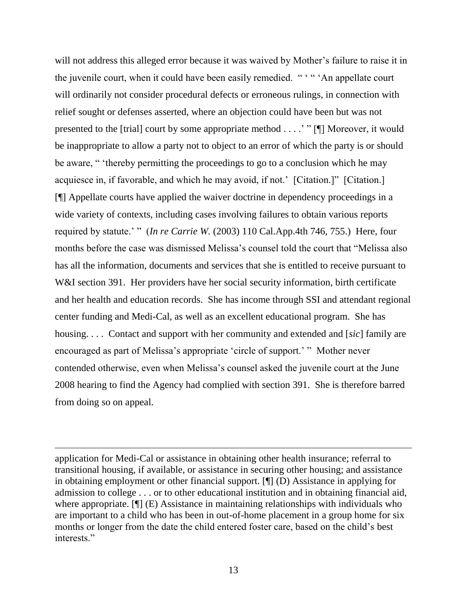will not address this alleged error because it was waived by Mother's failure to raise it in the juvenile court, when it could have been easily remedied. " "" An appellate court will ordinarily not consider procedural defects or erroneous rulings, in connection with relief sought or defenses asserted, where an objection could have been but was not presented to the [trial] court by some appropriate method . . . ." " [¶] Moreover, it would be inappropriate to allow a party not to object to an error of which the party is or should be aware, " "thereby permitting the proceedings to go to a conclusion which he may acquiesce in, if favorable, and which he may avoid, if not.' [Citation.]" [Citation.] [¶] Appellate courts have applied the waiver doctrine in dependency proceedings in a wide variety of contexts, including cases involving failures to obtain various reports required by statute." " (*In re Carrie W.* (2003) 110 Cal.App.4th 746, 755.) Here, four months before the case was dismissed Melissa"s counsel told the court that "Melissa also has all the information, documents and services that she is entitled to receive pursuant to W&I section 391. Her providers have her social security information, birth certificate and her health and education records. She has income through SSI and attendant regional center funding and Medi-Cal, as well as an excellent educational program. She has housing. . . . Contact and support with her community and extended and [*sic*] family are encouraged as part of Melissa"s appropriate "circle of support." " Mother never contended otherwise, even when Melissa"s counsel asked the juvenile court at the June 2008 hearing to find the Agency had complied with section 391. She is therefore barred from doing so on appeal.

application for Medi-Cal or assistance in obtaining other health insurance; referral to transitional housing, if available, or assistance in securing other housing; and assistance in obtaining employment or other financial support. [¶] (D) Assistance in applying for admission to college . . . or to other educational institution and in obtaining financial aid, where appropriate.  $[\P]$  (E) Assistance in maintaining relationships with individuals who are important to a child who has been in out-of-home placement in a group home for six months or longer from the date the child entered foster care, based on the child"s best interests."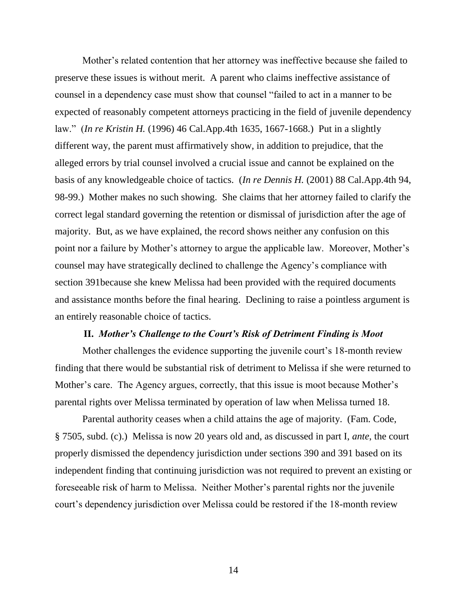Mother"s related contention that her attorney was ineffective because she failed to preserve these issues is without merit. A parent who claims ineffective assistance of counsel in a dependency case must show that counsel "failed to act in a manner to be expected of reasonably competent attorneys practicing in the field of juvenile dependency law." (*In re Kristin H.* (1996) 46 Cal.App.4th 1635, 1667-1668.) Put in a slightly different way, the parent must affirmatively show, in addition to prejudice, that the alleged errors by trial counsel involved a crucial issue and cannot be explained on the basis of any knowledgeable choice of tactics. (*In re Dennis H.* (2001) 88 Cal.App.4th 94, 98-99.) Mother makes no such showing. She claims that her attorney failed to clarify the correct legal standard governing the retention or dismissal of jurisdiction after the age of majority. But, as we have explained, the record shows neither any confusion on this point nor a failure by Mother's attorney to argue the applicable law. Moreover, Mother's counsel may have strategically declined to challenge the Agency"s compliance with section 391because she knew Melissa had been provided with the required documents and assistance months before the final hearing. Declining to raise a pointless argument is an entirely reasonable choice of tactics.

#### **II.** *Mother's Challenge to the Court's Risk of Detriment Finding is Moot*

Mother challenges the evidence supporting the juvenile court's 18-month review finding that there would be substantial risk of detriment to Melissa if she were returned to Mother's care. The Agency argues, correctly, that this issue is moot because Mother's parental rights over Melissa terminated by operation of law when Melissa turned 18.

Parental authority ceases when a child attains the age of majority. (Fam. Code, § 7505, subd. (c).) Melissa is now 20 years old and, as discussed in part I, *ante*, the court properly dismissed the dependency jurisdiction under sections 390 and 391 based on its independent finding that continuing jurisdiction was not required to prevent an existing or foreseeable risk of harm to Melissa. Neither Mother"s parental rights nor the juvenile court's dependency jurisdiction over Melissa could be restored if the 18-month review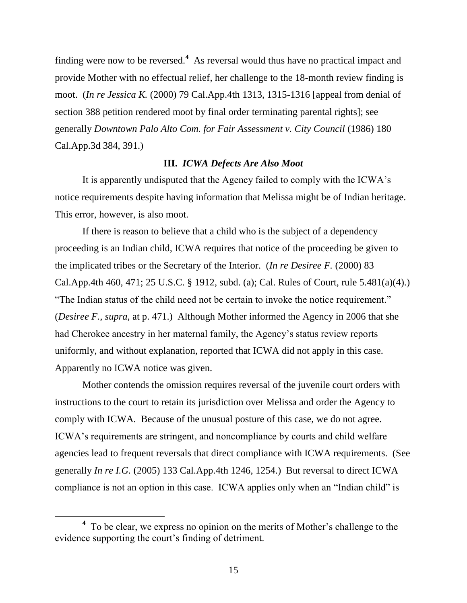finding were now to be reversed.**<sup>4</sup>** As reversal would thus have no practical impact and provide Mother with no effectual relief, her challenge to the 18-month review finding is moot. (*In re Jessica K.* (2000) 79 Cal.App.4th 1313, 1315-1316 [appeal from denial of section 388 petition rendered moot by final order terminating parental rights]; see generally *Downtown Palo Alto Com. for Fair Assessment v. City Council* (1986) 180 Cal.App.3d 384, 391.)

## **III.** *ICWA Defects Are Also Moot*

It is apparently undisputed that the Agency failed to comply with the ICWA"s notice requirements despite having information that Melissa might be of Indian heritage. This error, however, is also moot.

If there is reason to believe that a child who is the subject of a dependency proceeding is an Indian child, ICWA requires that notice of the proceeding be given to the implicated tribes or the Secretary of the Interior. (*In re Desiree F.* (2000) 83 Cal.App.4th 460, 471; 25 U.S.C. § 1912, subd. (a); Cal. Rules of Court, rule 5.481(a)(4).) "The Indian status of the child need not be certain to invoke the notice requirement." (*Desiree F., supra,* at p. 471.) Although Mother informed the Agency in 2006 that she had Cherokee ancestry in her maternal family, the Agency's status review reports uniformly, and without explanation, reported that ICWA did not apply in this case. Apparently no ICWA notice was given.

Mother contends the omission requires reversal of the juvenile court orders with instructions to the court to retain its jurisdiction over Melissa and order the Agency to comply with ICWA. Because of the unusual posture of this case, we do not agree. ICWA"s requirements are stringent, and noncompliance by courts and child welfare agencies lead to frequent reversals that direct compliance with ICWA requirements. (See generally *In re I.G.* (2005) 133 Cal.App.4th 1246, 1254.) But reversal to direct ICWA compliance is not an option in this case. ICWA applies only when an "Indian child" is

<sup>&</sup>lt;sup>4</sup> To be clear, we express no opinion on the merits of Mother's challenge to the evidence supporting the court's finding of detriment.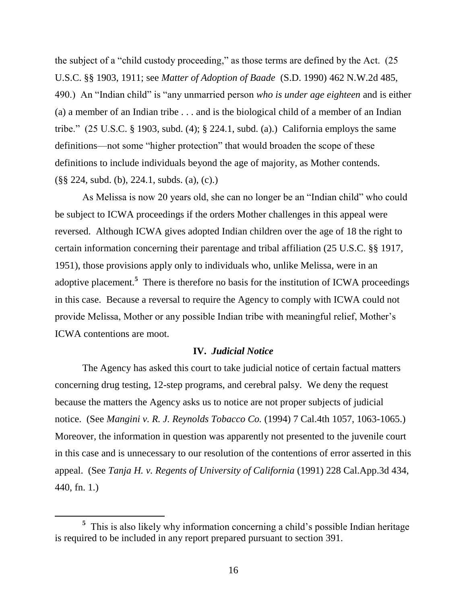the subject of a "child custody proceeding," as those terms are defined by the Act. (25 U.S.C. §§ 1903, 1911; see *Matter of Adoption of Baade* (S.D. 1990) 462 N.W.2d 485, 490.) An "Indian child" is "any unmarried person *who is under age eighteen* and is either (a) a member of an Indian tribe . . . and is the biological child of a member of an Indian tribe."  $(25 \text{ U.S.C. } § 1903, \text{ subd. } (4); § 224.1, \text{ subd. } (a).) \text{ California employs the same}$ definitions—not some "higher protection" that would broaden the scope of these definitions to include individuals beyond the age of majority, as Mother contends. (§§ 224, subd. (b), 224.1, subds. (a), (c).)

As Melissa is now 20 years old, she can no longer be an "Indian child" who could be subject to ICWA proceedings if the orders Mother challenges in this appeal were reversed. Although ICWA gives adopted Indian children over the age of 18 the right to certain information concerning their parentage and tribal affiliation (25 U.S.C. §§ 1917, 1951), those provisions apply only to individuals who, unlike Melissa, were in an adoptive placement.<sup>5</sup> There is therefore no basis for the institution of ICWA proceedings in this case. Because a reversal to require the Agency to comply with ICWA could not provide Melissa, Mother or any possible Indian tribe with meaningful relief, Mother"s ICWA contentions are moot.

## **IV.** *Judicial Notice*

The Agency has asked this court to take judicial notice of certain factual matters concerning drug testing, 12-step programs, and cerebral palsy. We deny the request because the matters the Agency asks us to notice are not proper subjects of judicial notice. (See *Mangini v. R. J. Reynolds Tobacco Co.* (1994) 7 Cal.4th 1057, 1063-1065.) Moreover, the information in question was apparently not presented to the juvenile court in this case and is unnecessary to our resolution of the contentions of error asserted in this appeal. (See *Tanja H. v. Regents of University of California* (1991) 228 Cal.App.3d 434, 440, fn. 1.)

<sup>&</sup>lt;sup>5</sup> This is also likely why information concerning a child's possible Indian heritage is required to be included in any report prepared pursuant to section 391.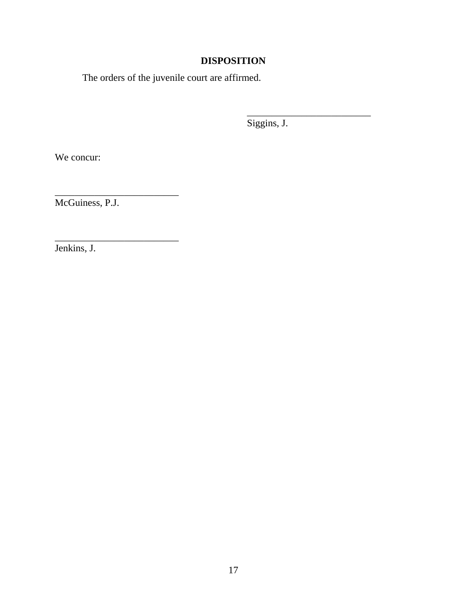# **DISPOSITION**

The orders of the juvenile court are affirmed.

Siggins, J.

\_\_\_\_\_\_\_\_\_\_\_\_\_\_\_\_\_\_\_\_\_\_\_\_\_

We concur:

McGuiness, P.J.

\_\_\_\_\_\_\_\_\_\_\_\_\_\_\_\_\_\_\_\_\_\_\_\_\_

\_\_\_\_\_\_\_\_\_\_\_\_\_\_\_\_\_\_\_\_\_\_\_\_\_

Jenkins, J.